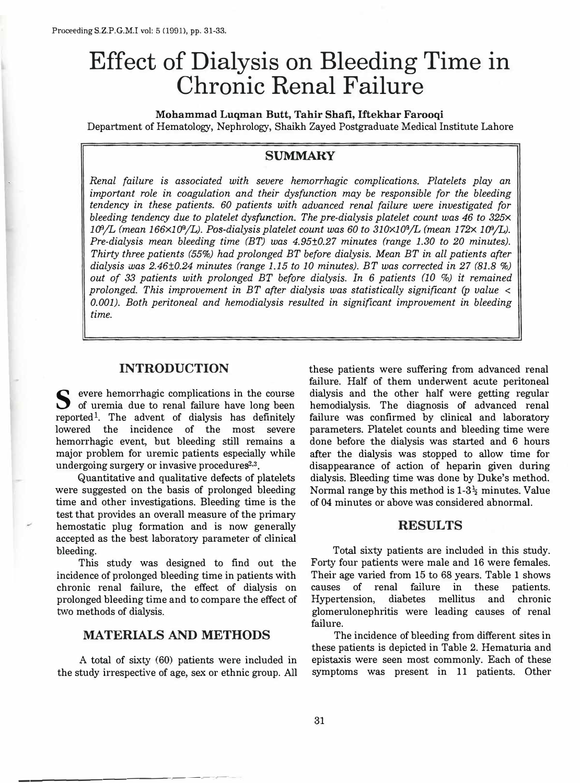# **Effect of Dialysis on Bleeding Time in Chronic Renal Failure**

**Mohammad Luqman Butt, Tahir Shafi, Iftekhar Farooqi**  Department of Hematology, Nephrology, Shaikh Zayed Postgraduate Medical Institute Lahore

# **SUMMARY**

*Renal failure is associated with severe hemorrhagic complications. Platelets play an important role in coagulation and their dysfunction may be responsible for the bleeding tendency in these patients. 60 patients with advanced renal failure were investigated for bleeding tendency due to platelet dysfunction. The pre-dialysis platelet count was 46 to 325x l(JJ/L (mean 166xl(JJ/L). Pas-dialysis platelet count was 60 to 310X10<sup>9</sup>/L (mean 172x l(JJ/L). Pre-dialysis mean bleeding time (BT) was 4.95±0.27 minutes (range 1.30 to 20 minutes). Thirty three patients (55%) had prolonged BT before dialysis. Mean BT in all patients after*  dialysis was 2.46±0.24 minutes (range 1.15 to 10 minutes). BT was corrected in 27 (81.8 %) *out of 33 patients with prolonged BT before dialysis. In 6 patients (10 %) it remained prolonged. This improvement in BT after dialysis was statistically significant (p value < 0.001). Both peritoneal and hemodialysis resulted in significant improvement in bleeding time.* 

## **INTRODUCTION**

 $\bullet$  evere hemorrhagic complications in the course of uremia due to renal failure have long been reported<sup>1</sup>. The advent of dialysis has definitely lowered the incidence of the most severe hemorrhagic event, but bleeding still remains a major problem for uremic patients especially while undergoing surgery or invasive procedures<sup>2,3</sup>.

Quantitative and qualitative defects of platelets were suggested on the basis of prolonged bleeding time and other investigations. Bleeding time is the test that provides an overall measure of the primary hemostatic plug formation and is now generally accepted as the best laboratory parameter of clinical bleeding.

This study was designed to find out the incidence of prolonged bleeding time in patients with chronic renal failure, the effect of dialysis on prolonged bleeding time and to compare the effect of two methods of dialysis.

#### **MATERIALS AND METHODS**

A total of sixty (60) patients were included in the study irrespective of age, sex or ethnic group. A l l<br>. these patients were suffering from advanced renal fai lure. Half of them underwent acute peritoneal dialysis and the other half were getting regular hemodialysis. The diagnosis of advanced renal failure was confirmed by clinical and laboratory parameters. Platelet counts and bleeding time were done before the dialysis was started and *6* hours after the dialysis was stopped to allow time for disappearance of action of heparin given during dialysis. Bleeding time was done by Duke's method. Normal range by this method is **1-3\** minutes. Value of 04 minutes or above was considered abnormal.

## **RESULTS**

Total sixty patients are included in this study. Forty four patients were male and 16 were females. Their age varied from 15 to 68 years. Table 1 shows causes of renal failure in these patients. Hypertension, diabetes mellitus and chronic glomerulonephritis were leading causes of renal failure.

The incidence of bleeding from different sites in these patients is depicted in Table 2. Hematuria and epistaxis were seen most commonly. Each of these symptoms was present in 11 patients. Other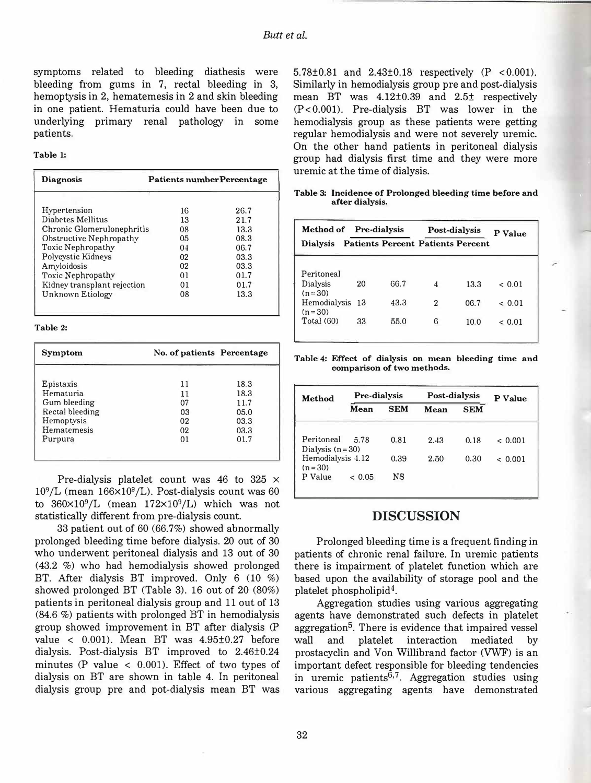symptoms related to bleeding diathesis were bleeding from gums in 7, rectal bleeding in 3, hemoptysis in 2, hematemesis in 2 and skin bleeding in one patient. Hematuria could have been due to underlying primary renal pathology in some patients.

#### **Table 1:**

| <b>Diagnosis</b>            | <b>Patients number Percentage</b> |       |  |
|-----------------------------|-----------------------------------|-------|--|
| Hypertension                | 16                                | 26.7  |  |
| Diabetes Mellitus           | 13                                | 21.7  |  |
| Chronic Glomerulonephritis  | 08                                | 13.3  |  |
| Obstructive Nephropathy     | 05                                | 08.3  |  |
| Toxic Nephropathy           | 0 <sub>4</sub>                    | 06.7  |  |
| Polycystic Kidnevs          | 02                                | 0.3.3 |  |
| Amyloidosis                 | 02                                | 0.3.3 |  |
| Toxic Nephropathy           | $^{01}$                           | 01.7  |  |
| Kidney transplant rejection | 01                                | 01.7  |  |
| Unknown Etiology            | 08                                | 13.3  |  |

**Table 2:** 

| Symptom         | No. of patients Percentage |      |
|-----------------|----------------------------|------|
| Epistaxis       | 11                         | 18.3 |
| Hematuria       | 11                         | 18.3 |
| Gum bleeding    | 07                         | 11.7 |
| Rectal bleeding | 03                         | 05.0 |
| Hemoptysis      | 02                         | 03.3 |
| Hematemesis     | 02                         | 03.3 |
| Purpura         | $^{01}$                    | 01.7 |
|                 |                            |      |

Pre-dialysis platelet count was 46 to 325  $\times$  $10^9$ /L (mean  $166 \times 10^9$ /L). Post-dialysis count was 60 to  $360\times10^9$ /L (mean  $172\times10^9$ /L) which was not statistically different from pre-dialysis count.

33 patient out of 60 (66.7%) showed abnormally prolonged bleeding time before dialysis. 20 out of 30 who underwent peritoneal dialysis and 13 out of 30 (43.2 %) who had hemodialysis showed prolonged BT. After dialysis BT improved. Only 6 (10 %) showed prolonged BT (Table 3). 16 out of 20 (80%) patients in peritoneal dialysis group and 11 out of 13 (84.6 %) patients with prolonged BT in hemodialysis group showed improvement in BT after dialysis (P value <  $0.001$ ). Mean BT was  $4.95\pm0.27$  before dialysis. Post-dialysis BT improved to 2.46±0.24 minutes (P value  $\langle$  0.001). Effect of two types of dialysis on BT are shown in table 4. In peritoneal dialysis group pre and pot-dialysis mean BT was 5.78 $\pm$ 0.81 and 2.43 $\pm$ 0.18 respectively (P <0.001). Similarly in hemodialysis group pre and post-dialysis mean BT was 4.12±0.39 and 2.5± respectively (P<0.001). Pre-dialysis BT was lower in the hemodialysis group as these patients were getting regular hemodialysis and were not severely uremic. On the other hand patients in peritoneal dialysis group had dialysis first time and they were more uremic at the time of dialysis.

**Table 3: Incidence of Prolonged bleeding time before and after dialysis.** 

|                               |    | Method of Pre-dialysis |                                          | Post-dialysis |             |
|-------------------------------|----|------------------------|------------------------------------------|---------------|-------------|
| <b>Dialysis</b>               |    |                        | <b>Patients Percent Patients Percent</b> |               |             |
|                               |    |                        |                                          |               |             |
| Peritoneal                    |    |                        |                                          |               |             |
| Dialysis<br>$(n = 30)$        | 20 | 66.7                   | 4                                        | 13.3          | ${}_{0.01}$ |
| Hemodialysis 13<br>$(n = 30)$ |    | 43.3                   | 2                                        | 06.7          | ${}_{0.01}$ |
| <b>Total</b> (60)             | 33 | 55.0                   | 6                                        | 10.0          | < 0.01      |
|                               |    |                        |                                          |               |             |

**Table 4: Effect of dialysis on mean bleeding time and comparison of two methods.** 

| Method                          | Pre-dialysis |            | Post-dialysis |            | P Value |
|---------------------------------|--------------|------------|---------------|------------|---------|
|                                 | Mean         | <b>SEM</b> | Mean          | <b>SEM</b> |         |
|                                 |              |            |               |            |         |
| Peritoneal<br>Dialysis $(n=30)$ | 5.78         | 0.81       | 2.43          | 0.18       | < 0.001 |
| Hemodialysis 4.12<br>$(n = 30)$ |              | 0.39       | 2.50          | 0.30       | < 0.001 |
| P Value                         | < 0.05       | NS         |               |            |         |

## **DISCUSSION**

Prolonged bleeding time is a frequent finding in patients of chronic renal failure. In uremic patients there is impairment of platelet function which are based upon the availability of storage pool and the platelet phospholipid4.

Aggregation studies using various aggregating agents have demonstrated such defects in platelet aggregation<sup>5</sup>. There is evidence that impaired vessel wall and platelet interaction mediated by prostacyclin and Von Willibrand factor (VWF) is an important defect responsible for bleeding tendencies in uremic patients<sup>6,7</sup>. Aggregation studies using , various aggregating agents have demonstrated